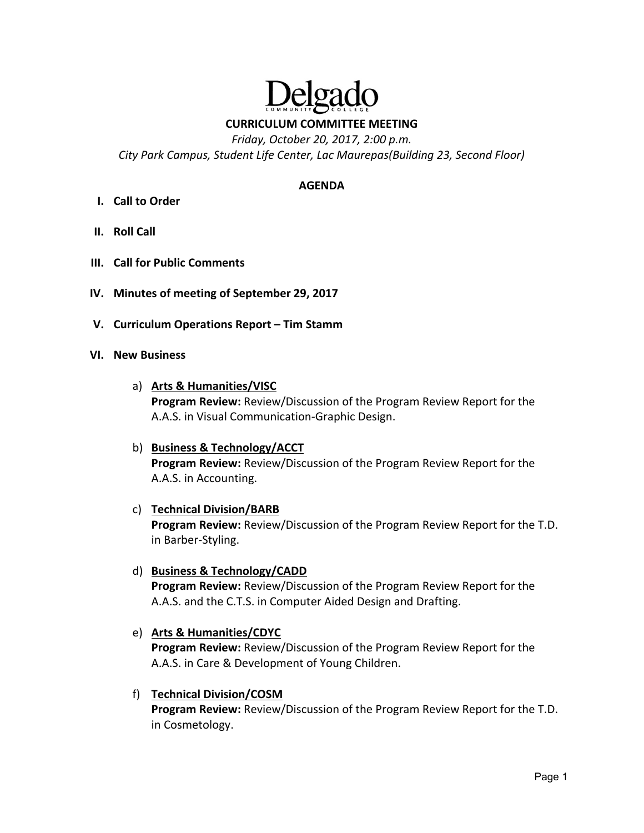

**CURRICULUM COMMITTEE MEETING** 

*Friday, October 20, 2017, 2:00 p.m.* 

*City Park Campus, Student Life Center, Lac Maurepas(Building 23, Second Floor)* 

### **AGENDA**

- **I. Call to Order**
- **II. Roll Call**
- **III. Call for Public Comments**
- **IV. Minutes of meeting of September 29, 2017**
- **V. Curriculum Operations Report Tim Stamm**

### **VI. New Business**

- a) **Arts & Humanities/VISC Program Review:** Review/Discussion of the Program Review Report for the A.A.S. in Visual Communication‐Graphic Design.
- b) **Business & Technology/ACCT Program Review:** Review/Discussion of the Program Review Report for the A.A.S. in Accounting.

### c) **Technical Division/BARB**

**Program Review:** Review/Discussion of the Program Review Report for the T.D. in Barber‐Styling.

d) **Business & Technology/CADD** 

**Program Review:** Review/Discussion of the Program Review Report for the A.A.S. and the C.T.S. in Computer Aided Design and Drafting.

### e) **Arts & Humanities/CDYC**

**Program Review:** Review/Discussion of the Program Review Report for the A.A.S. in Care & Development of Young Children.

### f) **Technical Division/COSM**

**Program Review:** Review/Discussion of the Program Review Report for the T.D. in Cosmetology.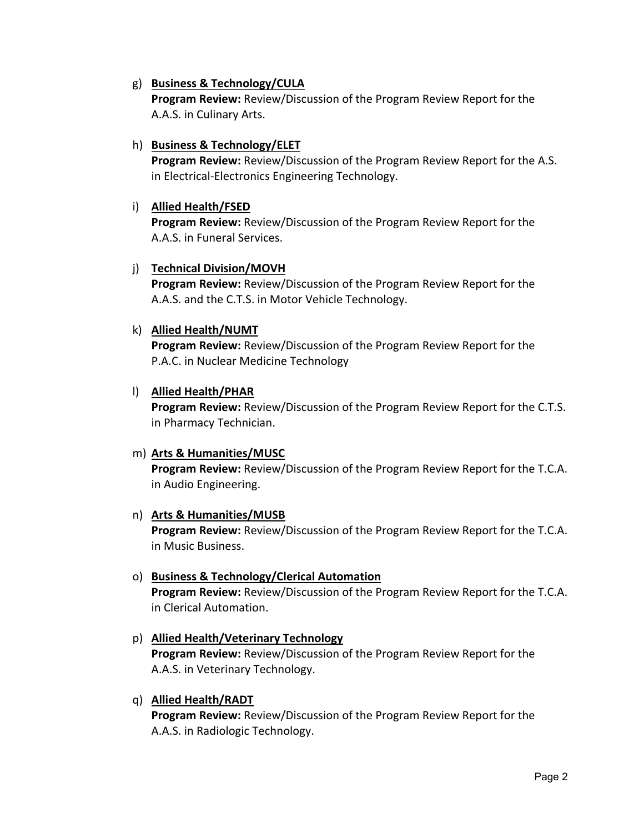# g) **Business & Technology/CULA**

**Program Review:** Review/Discussion of the Program Review Report for the A.A.S. in Culinary Arts.

## h) **Business & Technology/ELET**

**Program Review:** Review/Discussion of the Program Review Report for the A.S. in Electrical‐Electronics Engineering Technology.

## i) **Allied Health/FSED**

**Program Review:** Review/Discussion of the Program Review Report for the A.A.S. in Funeral Services.

# j) **Technical Division/MOVH**

**Program Review:** Review/Discussion of the Program Review Report for the A.A.S. and the C.T.S. in Motor Vehicle Technology.

# k) **Allied Health/NUMT**

**Program Review:** Review/Discussion of the Program Review Report for the P.A.C. in Nuclear Medicine Technology

# l) **Allied Health/PHAR**

**Program Review:** Review/Discussion of the Program Review Report for the C.T.S. in Pharmacy Technician.

# m) **Arts & Humanities/MUSC**

**Program Review:** Review/Discussion of the Program Review Report for the T.C.A. in Audio Engineering.

### n) **Arts & Humanities/MUSB**

**Program Review:** Review/Discussion of the Program Review Report for the T.C.A. in Music Business.

### o) **Business & Technology/Clerical Automation**

**Program Review:** Review/Discussion of the Program Review Report for the T.C.A. in Clerical Automation.

# p) **Allied Health/Veterinary Technology**

**Program Review:** Review/Discussion of the Program Review Report for the A.A.S. in Veterinary Technology.

### q) **Allied Health/RADT**

**Program Review:** Review/Discussion of the Program Review Report for the A.A.S. in Radiologic Technology.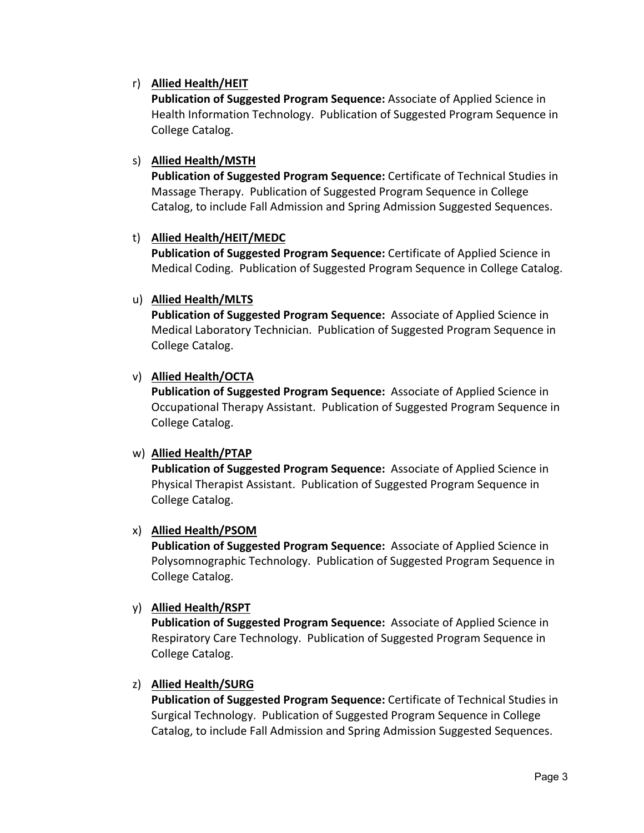# r) **Allied Health/HEIT**

**Publication of Suggested Program Sequence:** Associate of Applied Science in Health Information Technology. Publication of Suggested Program Sequence in College Catalog.

# s) **Allied Health/MSTH**

**Publication of Suggested Program Sequence:** Certificate of Technical Studies in Massage Therapy. Publication of Suggested Program Sequence in College Catalog, to include Fall Admission and Spring Admission Suggested Sequences.

# t) **Allied Health/HEIT/MEDC**

**Publication of Suggested Program Sequence:** Certificate of Applied Science in Medical Coding. Publication of Suggested Program Sequence in College Catalog.

# u) **Allied Health/MLTS**

**Publication of Suggested Program Sequence:**  Associate of Applied Science in Medical Laboratory Technician. Publication of Suggested Program Sequence in College Catalog.

# v) **Allied Health/OCTA**

**Publication of Suggested Program Sequence:**  Associate of Applied Science in Occupational Therapy Assistant. Publication of Suggested Program Sequence in College Catalog.

# w) **Allied Health/PTAP**

**Publication of Suggested Program Sequence:**  Associate of Applied Science in Physical Therapist Assistant. Publication of Suggested Program Sequence in College Catalog.

# x) **Allied Health/PSOM**

**Publication of Suggested Program Sequence:**  Associate of Applied Science in Polysomnographic Technology. Publication of Suggested Program Sequence in College Catalog.

# y) **Allied Health/RSPT**

**Publication of Suggested Program Sequence:**  Associate of Applied Science in Respiratory Care Technology. Publication of Suggested Program Sequence in College Catalog.

# z) **Allied Health/SURG**

**Publication of Suggested Program Sequence:** Certificate of Technical Studies in Surgical Technology. Publication of Suggested Program Sequence in College Catalog, to include Fall Admission and Spring Admission Suggested Sequences.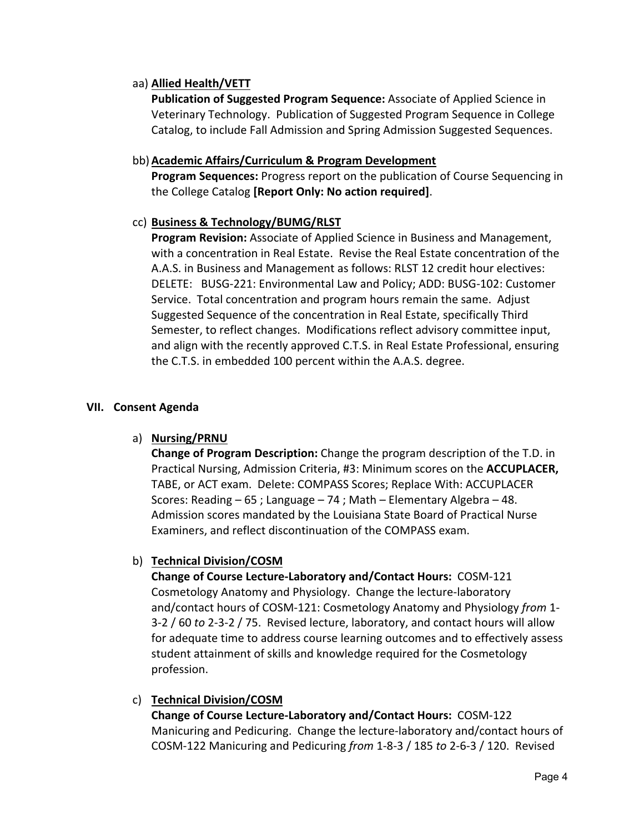# aa) **Allied Health/VETT**

**Publication of Suggested Program Sequence:** Associate of Applied Science in Veterinary Technology. Publication of Suggested Program Sequence in College Catalog, to include Fall Admission and Spring Admission Suggested Sequences.

### bb)**Academic Affairs/Curriculum & Program Development**

**Program Sequences:** Progress report on the publication of Course Sequencing in the College Catalog **[Report Only: No action required]**.

### cc) **Business & Technology/BUMG/RLST**

**Program Revision:** Associate of Applied Science in Business and Management, with a concentration in Real Estate. Revise the Real Estate concentration of the A.A.S. in Business and Management as follows: RLST 12 credit hour electives: DELETE: BUSG‐221: Environmental Law and Policy; ADD: BUSG‐102: Customer Service. Total concentration and program hours remain the same. Adjust Suggested Sequence of the concentration in Real Estate, specifically Third Semester, to reflect changes. Modifications reflect advisory committee input, and align with the recently approved C.T.S. in Real Estate Professional, ensuring the C.T.S. in embedded 100 percent within the A.A.S. degree.

### **VII. Consent Agenda**

### a) **Nursing/PRNU**

**Change of Program Description:** Change the program description of the T.D. in Practical Nursing, Admission Criteria, #3: Minimum scores on the **ACCUPLACER,**  TABE, or ACT exam. Delete: COMPASS Scores; Replace With: ACCUPLACER Scores: Reading – 65 ; Language – 74 ; Math – Elementary Algebra – 48. Admission scores mandated by the Louisiana State Board of Practical Nurse Examiners, and reflect discontinuation of the COMPASS exam.

# b) **Technical Division/COSM**

**Change of Course Lecture‐Laboratory and/Contact Hours:** COSM‐121 Cosmetology Anatomy and Physiology. Change the lecture‐laboratory and/contact hours of COSM‐121: Cosmetology Anatomy and Physiology *from* 1‐ 3‐2 / 60 *to* 2‐3‐2 / 75. Revised lecture, laboratory, and contact hours will allow for adequate time to address course learning outcomes and to effectively assess student attainment of skills and knowledge required for the Cosmetology profession.

### c) **Technical Division/COSM**

**Change of Course Lecture‐Laboratory and/Contact Hours:** COSM‐122 Manicuring and Pedicuring. Change the lecture‐laboratory and/contact hours of COSM‐122 Manicuring and Pedicuring *from* 1‐8‐3 / 185 *to* 2‐6‐3 / 120. Revised